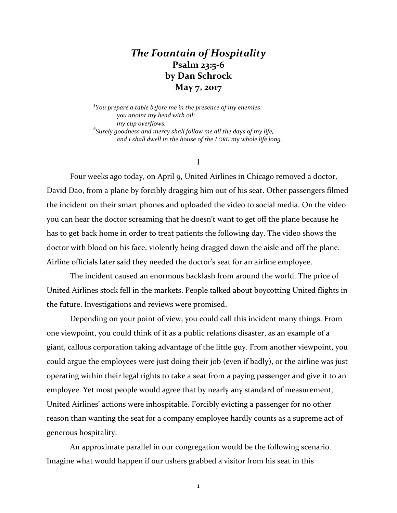## *The Fountain of Hospitality* **Psalm 23:5-6 by Dan Schrock May 7, 2017**

*5 You prepare a table before me in the presence of my enemies; you anoint my head with oil; my cup overflows. 6 Surely goodness and mercy shall follow me all the days of my life, and I shall dwell in the house of the LORD my whole life long.*

I

Four weeks ago today, on April 9, United Airlines in Chicago removed a doctor, David Dao, from a plane by forcibly dragging him out of his seat. Other passengers filmed the incident on their smart phones and uploaded the video to social media. On the video you can hear the doctor screaming that he doesn't want to get off the plane because he has to get back home in order to treat patients the following day. The video shows the doctor with blood on his face, violently being dragged down the aisle and off the plane. Airline officials later said they needed the doctor's seat for an airline employee.

The incident caused an enormous backlash from around the world. The price of United Airlines stock fell in the markets. People talked about boycotting United flights in the future. Investigations and reviews were promised.

Depending on your point of view, you could call this incident many things. From one viewpoint, you could think of it as a public relations disaster, as an example of a giant, callous corporation taking advantage of the little guy. From another viewpoint, you could argue the employees were just doing their job (even if badly), or the airline was just operating within their legal rights to take a seat from a paying passenger and give it to an employee. Yet most people would agree that by nearly any standard of measurement, United Airlines' actions were inhospitable. Forcibly evicting a passenger for no other reason than wanting the seat for a company employee hardly counts as a supreme act of generous hospitality.

An approximate parallel in our congregation would be the following scenario. Imagine what would happen if our ushers grabbed a visitor from his seat in this

1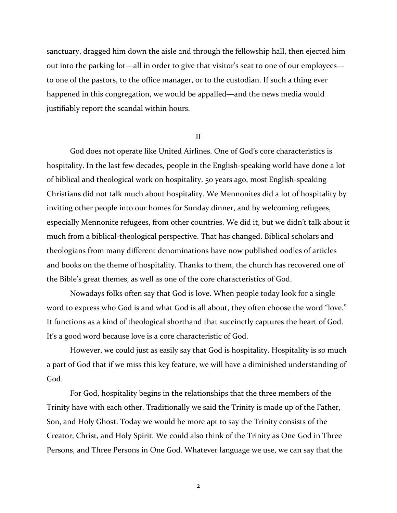sanctuary, dragged him down the aisle and through the fellowship hall, then ejected him out into the parking lot—all in order to give that visitor's seat to one of our employees to one of the pastors, to the office manager, or to the custodian. If such a thing ever happened in this congregation, we would be appalled—and the news media would justifiably report the scandal within hours.

II

God does not operate like United Airlines. One of God's core characteristics is hospitality. In the last few decades, people in the English-speaking world have done a lot of biblical and theological work on hospitality. 50 years ago, most English-speaking Christians did not talk much about hospitality. We Mennonites did a lot of hospitality by inviting other people into our homes for Sunday dinner, and by welcoming refugees, especially Mennonite refugees, from other countries. We did it, but we didn't talk about it much from a biblical-theological perspective. That has changed. Biblical scholars and theologians from many different denominations have now published oodles of articles and books on the theme of hospitality. Thanks to them, the church has recovered one of the Bible's great themes, as well as one of the core characteristics of God.

Nowadays folks often say that God is love. When people today look for a single word to express who God is and what God is all about, they often choose the word "love." It functions as a kind of theological shorthand that succinctly captures the heart of God. It's a good word because love is a core characteristic of God.

However, we could just as easily say that God is hospitality. Hospitality is so much a part of God that if we miss this key feature, we will have a diminished understanding of God.

For God, hospitality begins in the relationships that the three members of the Trinity have with each other. Traditionally we said the Trinity is made up of the Father, Son, and Holy Ghost. Today we would be more apt to say the Trinity consists of the Creator, Christ, and Holy Spirit. We could also think of the Trinity as One God in Three Persons, and Three Persons in One God. Whatever language we use, we can say that the

2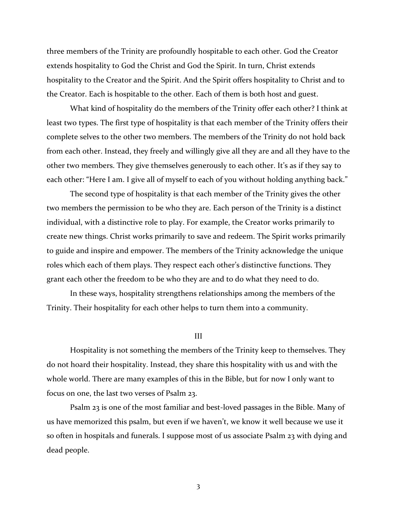three members of the Trinity are profoundly hospitable to each other. God the Creator extends hospitality to God the Christ and God the Spirit. In turn, Christ extends hospitality to the Creator and the Spirit. And the Spirit offers hospitality to Christ and to the Creator. Each is hospitable to the other. Each of them is both host and guest.

What kind of hospitality do the members of the Trinity offer each other? I think at least two types. The first type of hospitality is that each member of the Trinity offers their complete selves to the other two members. The members of the Trinity do not hold back from each other. Instead, they freely and willingly give all they are and all they have to the other two members. They give themselves generously to each other. It's as if they say to each other: "Here I am. I give all of myself to each of you without holding anything back."

The second type of hospitality is that each member of the Trinity gives the other two members the permission to be who they are. Each person of the Trinity is a distinct individual, with a distinctive role to play. For example, the Creator works primarily to create new things. Christ works primarily to save and redeem. The Spirit works primarily to guide and inspire and empower. The members of the Trinity acknowledge the unique roles which each of them plays. They respect each other's distinctive functions. They grant each other the freedom to be who they are and to do what they need to do.

In these ways, hospitality strengthens relationships among the members of the Trinity. Their hospitality for each other helps to turn them into a community.

III

Hospitality is not something the members of the Trinity keep to themselves. They do not hoard their hospitality. Instead, they share this hospitality with us and with the whole world. There are many examples of this in the Bible, but for now I only want to focus on one, the last two verses of Psalm 23.

Psalm 23 is one of the most familiar and best-loved passages in the Bible. Many of us have memorized this psalm, but even if we haven't, we know it well because we use it so often in hospitals and funerals. I suppose most of us associate Psalm 23 with dying and dead people.

3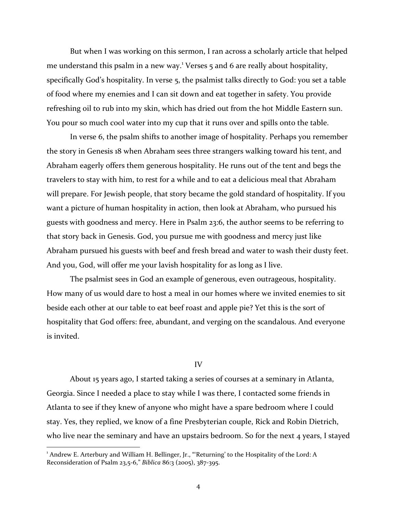But when I was working on this sermon, I ran across a scholarly article that helped me understand this psalm in a new way.<sup>1</sup> Verses  $\frac{1}{2}$  and 6 are really about hospitality, specifically God's hospitality. In verse 5, the psalmist talks directly to God: you set a table of food where my enemies and I can sit down and eat together in safety. You provide refreshing oil to rub into my skin, which has dried out from the hot Middle Eastern sun. You pour so much cool water into my cup that it runs over and spills onto the table.

In verse 6, the psalm shifts to another image of hospitality. Perhaps you remember the story in Genesis 18 when Abraham sees three strangers walking toward his tent, and Abraham eagerly offers them generous hospitality. He runs out of the tent and begs the travelers to stay with him, to rest for a while and to eat a delicious meal that Abraham will prepare. For Jewish people, that story became the gold standard of hospitality. If you want a picture of human hospitality in action, then look at Abraham, who pursued his guests with goodness and mercy. Here in Psalm 23:6, the author seems to be referring to that story back in Genesis. God, you pursue me with goodness and mercy just like Abraham pursued his guests with beef and fresh bread and water to wash their dusty feet. And you, God, will offer me your lavish hospitality for as long as I live.

The psalmist sees in God an example of generous, even outrageous, hospitality. How many of us would dare to host a meal in our homes where we invited enemies to sit beside each other at our table to eat beef roast and apple pie? Yet this is the sort of hospitality that God offers: free, abundant, and verging on the scandalous. And everyone is invited.

## IV

About 15 years ago, I started taking a series of courses at a seminary in Atlanta, Georgia. Since I needed a place to stay while I was there, I contacted some friends in Atlanta to see if they knew of anyone who might have a spare bedroom where I could stay. Yes, they replied, we know of a fine Presbyterian couple, Rick and Robin Dietrich, who live near the seminary and have an upstairs bedroom. So for the next 4 years, I stayed

<sup>1</sup> Andrew E. Arterbury and William H. Bellinger, Jr., "'Returning' to the Hospitality of the Lord: A Reconsideration of Psalm 23,5-6," *Biblica* 86:3 (2005), 387-395.

l